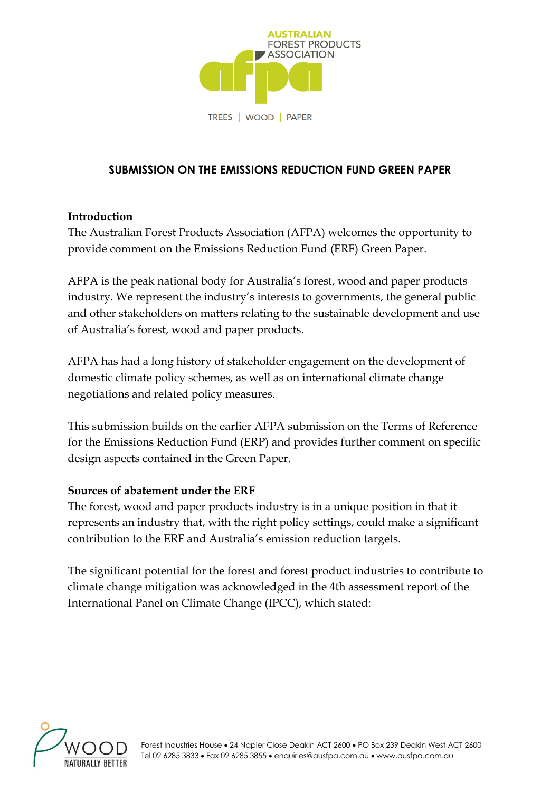

## **SUBMISSION ON THE EMISSIONS REDUCTION FUND GREEN PAPER**

#### **Introduction**

The Australian Forest Products Association (AFPA) welcomes the opportunity to provide comment on the Emissions Reduction Fund (ERF) Green Paper.

AFPA is the peak national body for Australia's forest, wood and paper products industry. We represent the industry's interests to governments, the general public and other stakeholders on matters relating to the sustainable development and use of Australia's forest, wood and paper products.

AFPA has had a long history of stakeholder engagement on the development of domestic climate policy schemes, as well as on international climate change negotiations and related policy measures.

This submission builds on the earlier AFPA submission on the Terms of Reference for the Emissions Reduction Fund (ERP) and provides further comment on specific design aspects contained in the Green Paper.

#### **Sources of abatement under the ERF**

The forest, wood and paper products industry is in a unique position in that it represents an industry that, with the right policy settings, could make a significant contribution to the ERF and Australia's emission reduction targets.

The significant potential for the forest and forest product industries to contribute to climate change mitigation was acknowledged in the 4th assessment report of the International Panel on Climate Change (IPCC), which stated:

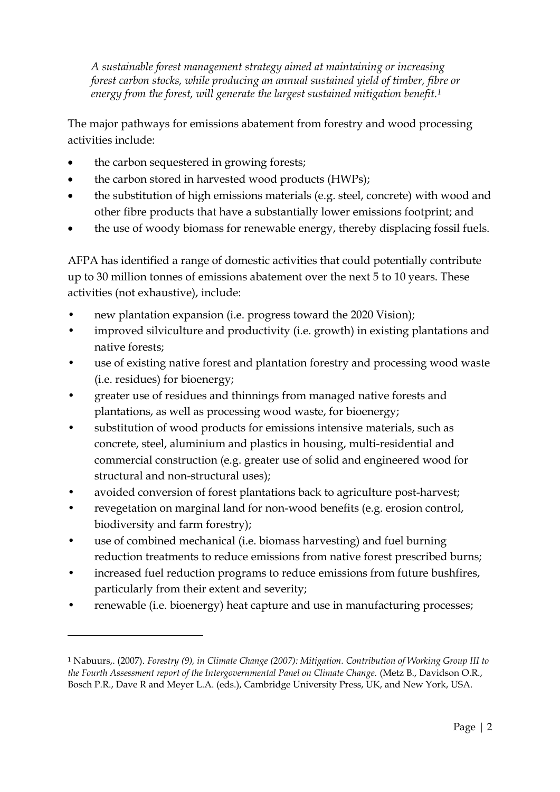*A sustainable forest management strategy aimed at maintaining or increasing forest carbon stocks, while producing an annual sustained yield of timber, fibre or energy from the forest, will generate the largest sustained mitigation benefit.<sup>1</sup>*

The major pathways for emissions abatement from forestry and wood processing activities include:

- the carbon sequestered in growing forests;
- the carbon stored in harvested wood products (HWPs);
- the substitution of high emissions materials (e.g. steel, concrete) with wood and other fibre products that have a substantially lower emissions footprint; and
- the use of woody biomass for renewable energy, thereby displacing fossil fuels.

AFPA has identified a range of domestic activities that could potentially contribute up to 30 million tonnes of emissions abatement over the next 5 to 10 years. These activities (not exhaustive), include:

- new plantation expansion (i.e. progress toward the 2020 Vision);
- improved silviculture and productivity (i.e. growth) in existing plantations and native forests;
- use of existing native forest and plantation forestry and processing wood waste (i.e. residues) for bioenergy;
- greater use of residues and thinnings from managed native forests and plantations, as well as processing wood waste, for bioenergy;
- substitution of wood products for emissions intensive materials, such as concrete, steel, aluminium and plastics in housing, multi-residential and commercial construction (e.g. greater use of solid and engineered wood for structural and non-structural uses);
- avoided conversion of forest plantations back to agriculture post-harvest;
- revegetation on marginal land for non-wood benefits (e.g. erosion control, biodiversity and farm forestry);
- use of combined mechanical (i.e. biomass harvesting) and fuel burning reduction treatments to reduce emissions from native forest prescribed burns;
- increased fuel reduction programs to reduce emissions from future bushfires, particularly from their extent and severity;
- renewable (i.e. bioenergy) heat capture and use in manufacturing processes;

<u>.</u>

<sup>1</sup> Nabuurs,. (2007). *Forestry (9), in Climate Change (2007): Mitigation. Contribution of Working Group III to the Fourth Assessment report of the Intergovernmental Panel on Climate Change.* (Metz B., Davidson O.R., Bosch P.R., Dave R and Meyer L.A. (eds.), Cambridge University Press, UK, and New York, USA.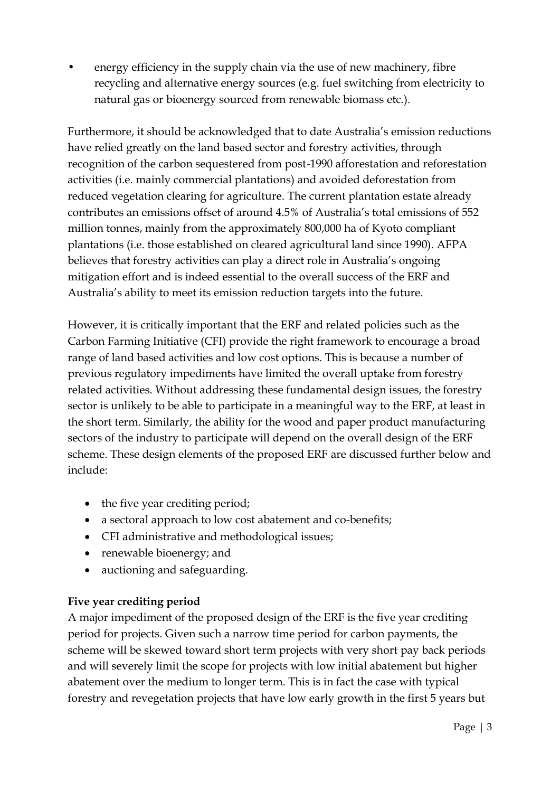• energy efficiency in the supply chain via the use of new machinery, fibre recycling and alternative energy sources (e.g. fuel switching from electricity to natural gas or bioenergy sourced from renewable biomass etc.).

Furthermore, it should be acknowledged that to date Australia's emission reductions have relied greatly on the land based sector and forestry activities, through recognition of the carbon sequestered from post-1990 afforestation and reforestation activities (i.e. mainly commercial plantations) and avoided deforestation from reduced vegetation clearing for agriculture. The current plantation estate already contributes an emissions offset of around 4.5% of Australia's total emissions of 552 million tonnes, mainly from the approximately 800,000 ha of Kyoto compliant plantations (i.e. those established on cleared agricultural land since 1990). AFPA believes that forestry activities can play a direct role in Australia's ongoing mitigation effort and is indeed essential to the overall success of the ERF and Australia's ability to meet its emission reduction targets into the future.

However, it is critically important that the ERF and related policies such as the Carbon Farming Initiative (CFI) provide the right framework to encourage a broad range of land based activities and low cost options. This is because a number of previous regulatory impediments have limited the overall uptake from forestry related activities. Without addressing these fundamental design issues, the forestry sector is unlikely to be able to participate in a meaningful way to the ERF, at least in the short term. Similarly, the ability for the wood and paper product manufacturing sectors of the industry to participate will depend on the overall design of the ERF scheme. These design elements of the proposed ERF are discussed further below and include<sup>.</sup>

- the five year crediting period;
- a sectoral approach to low cost abatement and co-benefits;
- CFI administrative and methodological issues;
- renewable bioenergy; and
- auctioning and safeguarding.

# **Five year crediting period**

A major impediment of the proposed design of the ERF is the five year crediting period for projects. Given such a narrow time period for carbon payments, the scheme will be skewed toward short term projects with very short pay back periods and will severely limit the scope for projects with low initial abatement but higher abatement over the medium to longer term. This is in fact the case with typical forestry and revegetation projects that have low early growth in the first 5 years but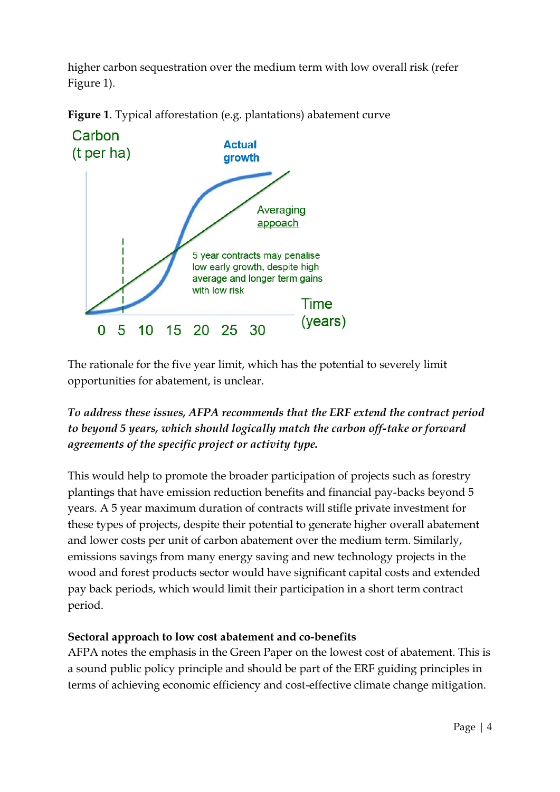higher carbon sequestration over the medium term with low overall risk (refer Figure 1).





The rationale for the five year limit, which has the potential to severely limit opportunities for abatement, is unclear.

*To address these issues, AFPA recommends that the ERF extend the contract period to beyond 5 years, which should logically match the carbon off-take or forward agreements of the specific project or activity type.* 

This would help to promote the broader participation of projects such as forestry plantings that have emission reduction benefits and financial pay-backs beyond 5 years. A 5 year maximum duration of contracts will stifle private investment for these types of projects, despite their potential to generate higher overall abatement and lower costs per unit of carbon abatement over the medium term. Similarly, emissions savings from many energy saving and new technology projects in the wood and forest products sector would have significant capital costs and extended pay back periods, which would limit their participation in a short term contract period.

## **Sectoral approach to low cost abatement and co-benefits**

AFPA notes the emphasis in the Green Paper on the lowest cost of abatement. This is a sound public policy principle and should be part of the ERF guiding principles in terms of achieving economic efficiency and cost-effective climate change mitigation.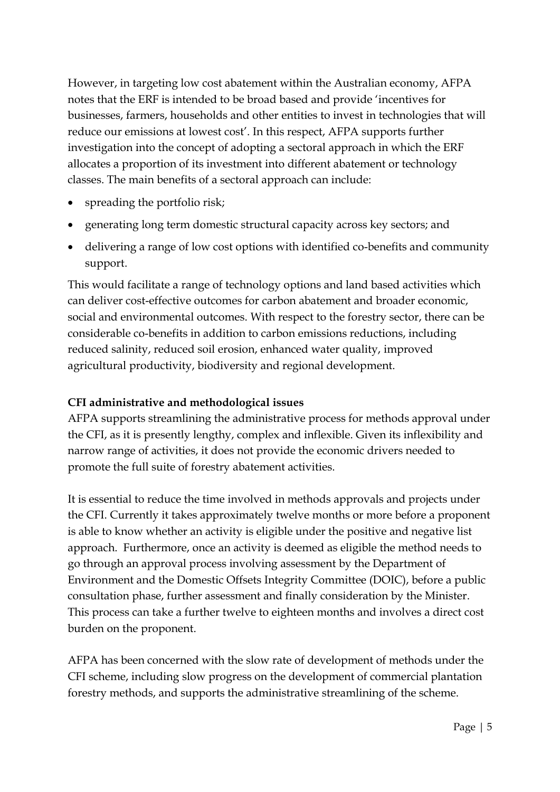However, in targeting low cost abatement within the Australian economy, AFPA notes that the ERF is intended to be broad based and provide 'incentives for businesses, farmers, households and other entities to invest in technologies that will reduce our emissions at lowest cost'. In this respect, AFPA supports further investigation into the concept of adopting a sectoral approach in which the ERF allocates a proportion of its investment into different abatement or technology classes. The main benefits of a sectoral approach can include:

- spreading the portfolio risk;
- generating long term domestic structural capacity across key sectors; and
- delivering a range of low cost options with identified co-benefits and community support.

This would facilitate a range of technology options and land based activities which can deliver cost-effective outcomes for carbon abatement and broader economic, social and environmental outcomes. With respect to the forestry sector, there can be considerable co-benefits in addition to carbon emissions reductions, including reduced salinity, reduced soil erosion, enhanced water quality, improved agricultural productivity, biodiversity and regional development.

## **CFI administrative and methodological issues**

AFPA supports streamlining the administrative process for methods approval under the CFI, as it is presently lengthy, complex and inflexible. Given its inflexibility and narrow range of activities, it does not provide the economic drivers needed to promote the full suite of forestry abatement activities.

It is essential to reduce the time involved in methods approvals and projects under the CFI. Currently it takes approximately twelve months or more before a proponent is able to know whether an activity is eligible under the positive and negative list approach. Furthermore, once an activity is deemed as eligible the method needs to go through an approval process involving assessment by the Department of Environment and the Domestic Offsets Integrity Committee (DOIC), before a public consultation phase, further assessment and finally consideration by the Minister. This process can take a further twelve to eighteen months and involves a direct cost burden on the proponent.

AFPA has been concerned with the slow rate of development of methods under the CFI scheme, including slow progress on the development of commercial plantation forestry methods, and supports the administrative streamlining of the scheme.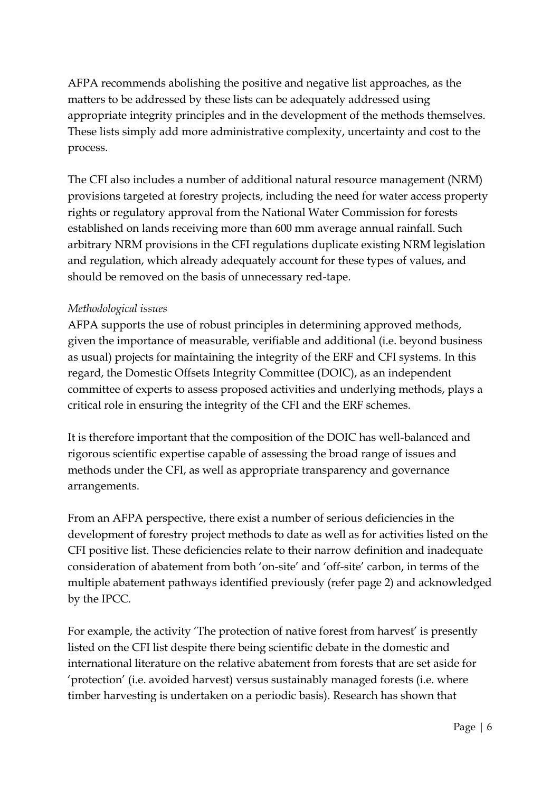AFPA recommends abolishing the positive and negative list approaches, as the matters to be addressed by these lists can be adequately addressed using appropriate integrity principles and in the development of the methods themselves. These lists simply add more administrative complexity, uncertainty and cost to the process.

The CFI also includes a number of additional natural resource management (NRM) provisions targeted at forestry projects, including the need for water access property rights or regulatory approval from the National Water Commission for forests established on lands receiving more than 600 mm average annual rainfall. Such arbitrary NRM provisions in the CFI regulations duplicate existing NRM legislation and regulation, which already adequately account for these types of values, and should be removed on the basis of unnecessary red-tape.

## *Methodological issues*

AFPA supports the use of robust principles in determining approved methods, given the importance of measurable, verifiable and additional (i.e. beyond business as usual) projects for maintaining the integrity of the ERF and CFI systems. In this regard, the Domestic Offsets Integrity Committee (DOIC), as an independent committee of experts to assess proposed activities and underlying methods, plays a critical role in ensuring the integrity of the CFI and the ERF schemes.

It is therefore important that the composition of the DOIC has well-balanced and rigorous scientific expertise capable of assessing the broad range of issues and methods under the CFI, as well as appropriate transparency and governance arrangements.

From an AFPA perspective, there exist a number of serious deficiencies in the development of forestry project methods to date as well as for activities listed on the CFI positive list. These deficiencies relate to their narrow definition and inadequate consideration of abatement from both 'on-site' and 'off-site' carbon, in terms of the multiple abatement pathways identified previously (refer page 2) and acknowledged by the IPCC.

For example, the activity 'The protection of native forest from harvest' is presently listed on the CFI list despite there being scientific debate in the domestic and international literature on the relative abatement from forests that are set aside for 'protection' (i.e. avoided harvest) versus sustainably managed forests (i.e. where timber harvesting is undertaken on a periodic basis). Research has shown that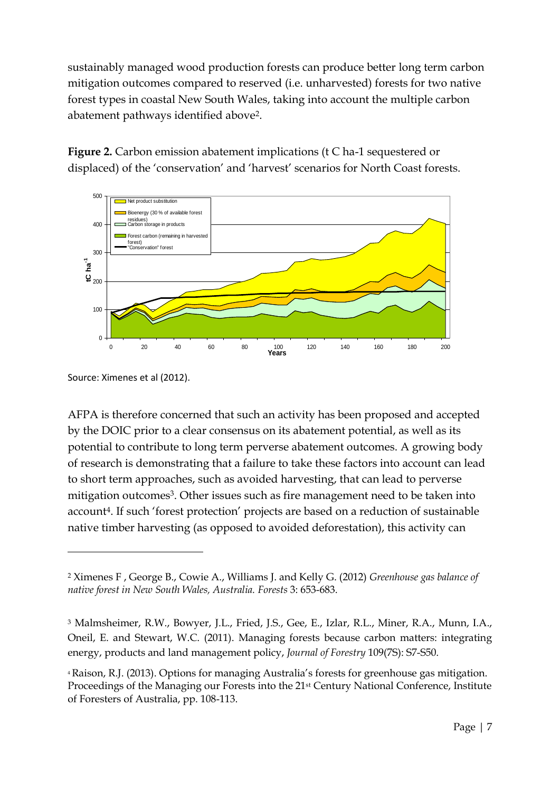sustainably managed wood production forests can produce better long term carbon mitigation outcomes compared to reserved (i.e. unharvested) forests for two native forest types in coastal New South Wales, taking into account the multiple carbon abatement pathways identified above2.

**Figure 2.** Carbon emission abatement implications (t C ha-1 sequestered or displaced) of the 'conservation' and 'harvest' scenarios for North Coast forests.



Source: Ximenes et al (2012).

<u>.</u>

AFPA is therefore concerned that such an activity has been proposed and accepted by the DOIC prior to a clear consensus on its abatement potential, as well as its potential to contribute to long term perverse abatement outcomes. A growing body of research is demonstrating that a failure to take these factors into account can lead to short term approaches, such as avoided harvesting, that can lead to perverse mitigation outcomes<sup>3</sup>. Other issues such as fire management need to be taken into account4. If such 'forest protection' projects are based on a reduction of sustainable native timber harvesting (as opposed to avoided deforestation), this activity can

<sup>2</sup> Ximenes F , George B., Cowie A., Williams J. and Kelly G. (2012) *Greenhouse gas balance of native forest in New South Wales, Australia. Forests* 3: 653-683.

<sup>3</sup> Malmsheimer, R.W., Bowyer, J.L., Fried, J.S., Gee, E., Izlar, R.L., Miner, R.A., Munn, I.A., Oneil, E. and Stewart, W.C. (2011). Managing forests because carbon matters: integrating energy, products and land management policy, *Journal of Forestry* 109(7S): S7-S50.

<sup>4</sup> Raison, R.J. (2013). Options for managing Australia's forests for greenhouse gas mitigation. Proceedings of the Managing our Forests into the 21st Century National Conference, Institute of Foresters of Australia, pp. 108-113.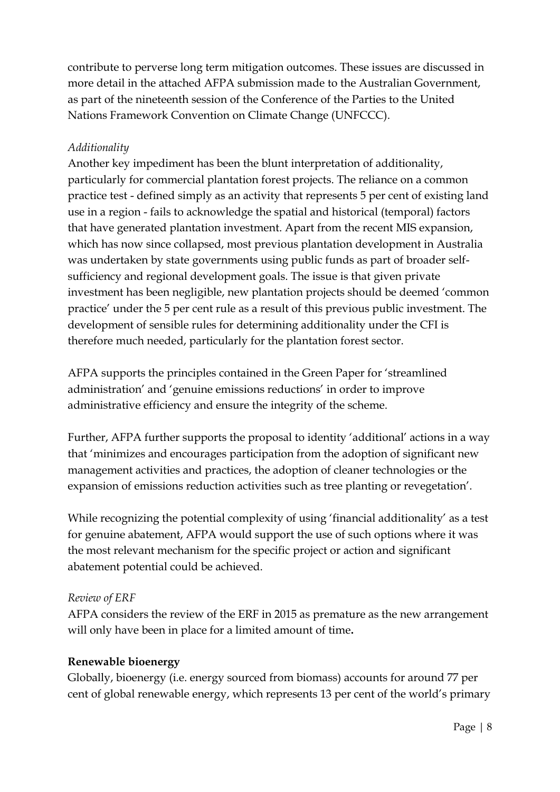contribute to perverse long term mitigation outcomes. These issues are discussed in more detail in the attached AFPA submission made to the Australian Government, as part of the nineteenth session of the Conference of the Parties to the United Nations Framework Convention on Climate Change (UNFCCC).

## *Additionality*

Another key impediment has been the blunt interpretation of additionality, particularly for commercial plantation forest projects. The reliance on a common practice test - defined simply as an activity that represents 5 per cent of existing land use in a region - fails to acknowledge the spatial and historical (temporal) factors that have generated plantation investment. Apart from the recent MIS expansion, which has now since collapsed, most previous plantation development in Australia was undertaken by state governments using public funds as part of broader selfsufficiency and regional development goals. The issue is that given private investment has been negligible, new plantation projects should be deemed 'common practice' under the 5 per cent rule as a result of this previous public investment. The development of sensible rules for determining additionality under the CFI is therefore much needed, particularly for the plantation forest sector.

AFPA supports the principles contained in the Green Paper for 'streamlined administration' and 'genuine emissions reductions' in order to improve administrative efficiency and ensure the integrity of the scheme.

Further, AFPA further supports the proposal to identity 'additional' actions in a way that 'minimizes and encourages participation from the adoption of significant new management activities and practices, the adoption of cleaner technologies or the expansion of emissions reduction activities such as tree planting or revegetation'.

While recognizing the potential complexity of using 'financial additionality' as a test for genuine abatement, AFPA would support the use of such options where it was the most relevant mechanism for the specific project or action and significant abatement potential could be achieved.

#### *Review of ERF*

AFPA considers the review of the ERF in 2015 as premature as the new arrangement will only have been in place for a limited amount of time**.**

#### **Renewable bioenergy**

Globally, bioenergy (i.e. energy sourced from biomass) accounts for around 77 per cent of global renewable energy, which represents 13 per cent of the world's primary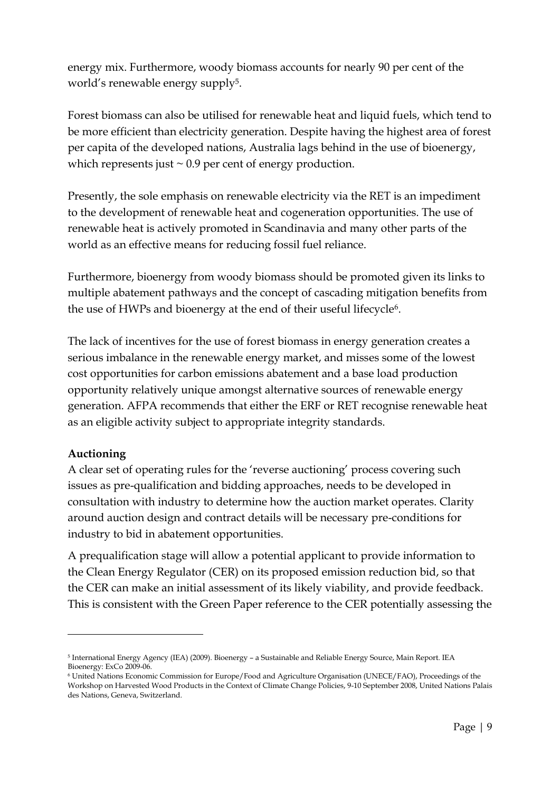energy mix. Furthermore, woody biomass accounts for nearly 90 per cent of the world's renewable energy supply<sup>5</sup>.

Forest biomass can also be utilised for renewable heat and liquid fuels, which tend to be more efficient than electricity generation. Despite having the highest area of forest per capita of the developed nations, Australia lags behind in the use of bioenergy, which represents just  $\sim 0.9$  per cent of energy production.

Presently, the sole emphasis on renewable electricity via the RET is an impediment to the development of renewable heat and cogeneration opportunities. The use of renewable heat is actively promoted in Scandinavia and many other parts of the world as an effective means for reducing fossil fuel reliance.

Furthermore, bioenergy from woody biomass should be promoted given its links to multiple abatement pathways and the concept of cascading mitigation benefits from the use of HWPs and bioenergy at the end of their useful lifecycle<sup>6</sup>.

The lack of incentives for the use of forest biomass in energy generation creates a serious imbalance in the renewable energy market, and misses some of the lowest cost opportunities for carbon emissions abatement and a base load production opportunity relatively unique amongst alternative sources of renewable energy generation. AFPA recommends that either the ERF or RET recognise renewable heat as an eligible activity subject to appropriate integrity standards.

## **Auctioning**

<u>.</u>

A clear set of operating rules for the 'reverse auctioning' process covering such issues as pre-qualification and bidding approaches, needs to be developed in consultation with industry to determine how the auction market operates. Clarity around auction design and contract details will be necessary pre-conditions for industry to bid in abatement opportunities.

A prequalification stage will allow a potential applicant to provide information to the Clean Energy Regulator (CER) on its proposed emission reduction bid, so that the CER can make an initial assessment of its likely viability, and provide feedback. This is consistent with the Green Paper reference to the CER potentially assessing the

<sup>5</sup> International Energy Agency (IEA) (2009). Bioenergy – a Sustainable and Reliable Energy Source, Main Report. IEA Bioenergy: ExCo 2009-06.

<sup>6</sup> United Nations Economic Commission for Europe/Food and Agriculture Organisation (UNECE/FAO), Proceedings of the Workshop on Harvested Wood Products in the Context of Climate Change Policies, 9-10 September 2008, United Nations Palais des Nations, Geneva, Switzerland.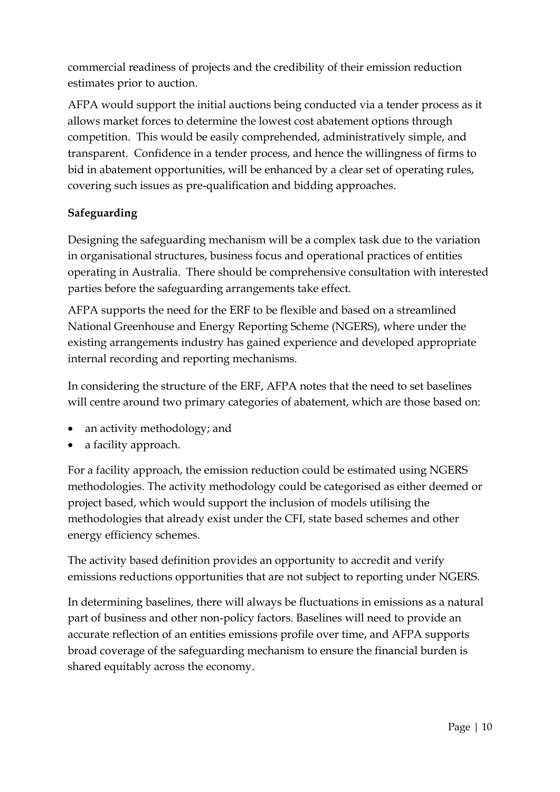commercial readiness of projects and the credibility of their emission reduction estimates prior to auction.

AFPA would support the initial auctions being conducted via a tender process as it allows market forces to determine the lowest cost abatement options through competition. This would be easily comprehended, administratively simple, and transparent. Confidence in a tender process, and hence the willingness of firms to bid in abatement opportunities, will be enhanced by a clear set of operating rules, covering such issues as pre-qualification and bidding approaches.

## **Safeguarding**

Designing the safeguarding mechanism will be a complex task due to the variation in organisational structures, business focus and operational practices of entities operating in Australia. There should be comprehensive consultation with interested parties before the safeguarding arrangements take effect.

AFPA supports the need for the ERF to be flexible and based on a streamlined National Greenhouse and Energy Reporting Scheme (NGERS), where under the existing arrangements industry has gained experience and developed appropriate internal recording and reporting mechanisms.

In considering the structure of the ERF, AFPA notes that the need to set baselines will centre around two primary categories of abatement, which are those based on:

- an activity methodology; and
- a facility approach.

For a facility approach, the emission reduction could be estimated using NGERS methodologies. The activity methodology could be categorised as either deemed or project based, which would support the inclusion of models utilising the methodologies that already exist under the CFI, state based schemes and other energy efficiency schemes.

The activity based definition provides an opportunity to accredit and verify emissions reductions opportunities that are not subject to reporting under NGERS.

In determining baselines, there will always be fluctuations in emissions as a natural part of business and other non-policy factors. Baselines will need to provide an accurate reflection of an entities emissions profile over time, and AFPA supports broad coverage of the safeguarding mechanism to ensure the financial burden is shared equitably across the economy.